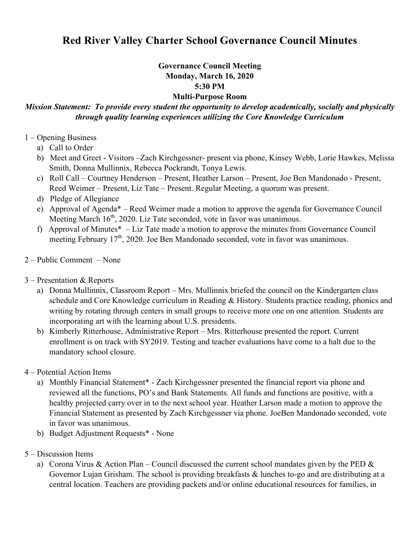# **Red River Valley Charter School Governance Council Minutes**

#### **Governance Council Meeting Monday, March 16, 2020 5:30 PM Multi-Purpose Room**

## *Mission Statement: To provide every student the opportunity to develop academically, socially and physically through quality learning experiences utilizing the Core Knowledge Curriculum*

### 1 – Opening Business

- a) Call to Order
- b) Meet and Greet Visitors –Zach Kirchgessner- present via phone, Kinsey Webb, Lorie Hawkes, Melissa Smith, Donna Mullinnix, Rebecca Pockrandt, Tonya Lewis.
- c) Roll Call Courtney Henderson Present, Heather Larson Present, Joe Ben Mandonado Present, Reed Weimer – Present, Liz Tate – Present. Regular Meeting, a quorum was present.
- d) Pledge of Allegiance
- e) Approval of Agenda\* Reed Weimer made a motion to approve the agenda for Governance Council Meeting March  $16<sup>th</sup>$ , 2020. Liz Tate seconded, vote in favor was unanimous.
- f) Approval of Minutes\* Liz Tate made a motion to approve the minutes from Governance Council meeting February 17<sup>th</sup>, 2020. Joe Ben Mandonado seconded, vote in favor was unanimous.
- 2 Public Comment None

### 3 – Presentation & Reports

- a) Donna Mullinnix, Classroom Report Mrs. Mullinnix briefed the council on the Kindergarten class schedule and Core Knowledge curriculum in Reading & History. Students practice reading, phonics and writing by rotating through centers in small groups to receive more one on one attention. Students are incorporating art with the learning about U.S. presidents.
- b) Kimberly Ritterhouse, Administrative Report Mrs. Ritterhouse presented the report. Current enrollment is on track with SY2019. Testing and teacher evaluations have come to a halt due to the mandatory school closure.

### 4 – Potential Action Items

- a) Monthly Financial Statement\* Zach Kirchgessner presented the financial report via phone and reviewed all the functions, PO's and Bank Statements. All funds and functions are positive, with a healthy projected carry over in to the next school year. Heather Larson made a motion to approve the Financial Statement as presented by Zach Kirchgessner via phone. JoeBen Mandonado seconded, vote in favor was unanimous.
- b) Budget Adjustment Requests\* None
- 5 Discussion Items
	- a) Corona Virus & Action Plan Council discussed the current school mandates given by the PED  $\&$ Governor Lujan Grisham. The school is providing breakfasts & lunches to-go and are distributing at a central location. Teachers are providing packets and/or online educational resources for families, in